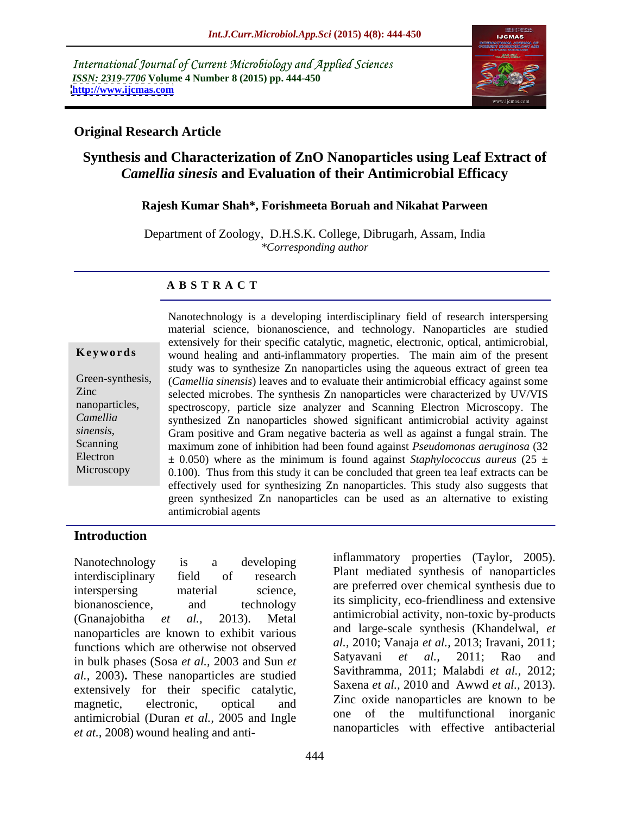International Journal of Current Microbiology and Applied Sciences *ISSN: 2319-7706* **Volume 4 Number 8 (2015) pp. 444-450 <http://www.ijcmas.com>**



## **Original Research Article**

# **Synthesis and Characterization of ZnO Nanoparticles using Leaf Extract of**  *Camellia sinesis* **and Evaluation of their Antimicrobial Efficacy**

### **Rajesh Kumar Shah\*, Forishmeeta Boruah and Nikahat Parween**

Department of Zoology, D.H.S.K. College, Dibrugarh, Assam, India *\*Corresponding author*

### **A B S T R A C T**

**Microscopy** 

Nanotechnology is a developing interdisciplinary field of research interspersing material science, bionanoscience, and technology. Nanoparticles are studied extensively for their specific catalytic, magnetic, electronic, optical, antimicrobial, wound healing and anti-inflammatory properties. The main aim of the present **Ke ywo rds** study was to synthesize Zn nanoparticles using the aqueous extract of green tea Green-synthesis, *(Camellia sinensis)* leaves and to evaluate their antimicrobial efficacy against some selected microbes. The synthesis Zn nanoparticles were characterized by UV/VIS Zinc nanoparticles, spectroscopy, particle size analyzer and Scanning Electron Microscopy. The synthesized Zn nanoparticles showed significant antimicrobial activity against *Camellia* sinensis, Gram positive and Gram negative bacteria as well as against a fungal strain. The maximum zone of inhibition had been found against *Pseudomonas aeruginosa* (32) maximum zone of inhibition had been found against *Pseudomonas aeruginosa* (32 Electron  $\pm$  0.050) where as the minimum is found against *Staphylococcus aureus* (25  $\pm$ 0.100). Thus from this study it can be concluded that green tea leaf extracts can be effectively used for synthesizing Zn nanoparticles. This study also suggests that green synthesized Zn nanoparticles can be used as an alternative to existing antimicrobial agents

## **Introduction**

interdisciplinary field of research interspersing material science, are preferred over chemical synthesis due to bionanoscience, and technology us simplicity, eco-intendiness and extensive (Gnanajobitha *et al.,* 2013). Metal antimicrobial activity, non-toxic by-products nanoparticles are known to exhibit various functions which are otherwise not observed  $\begin{array}{c} al., 2010; \text{V} \text{ and } et \text{ } al., 2013; \text{ if a value of } 2011; \\ \text{in bulk phase (Sose et al., 2003 and Sun et al., 2011; 2011; 2011; 2011; 2011; 2011; 2011; 2011; 2011; 2011; 2011; 2011; 2011; 2011; 2011; 2011; 2011;$ in bulk phases (Sosa *et al.,* 2003 and Sun *et al.,* 2003)**.** These nanoparticles are studied extensively for their specific catalytic, magnetic, electronic, optical and ZINC oxident anoparticles are known to be antimicrobial (Duran *et al.,* 2005 and Ingle *et at.,* 2008) wound healing and anti-

Nanotechnology is a developing initial distribution of the critical properties (Taylor, 2005). inflammatory properties (Taylor, 2005).Plant mediated synthesis of nanoparticles are preferred over chemical synthesis due to its simplicity, eco-friendliness and extensive and large-scale synthesis (Khandelwal, *et al.,* 2010; Vanaja *et al.,* 2013; Iravani, 2011; Satyavani *et al.,* 2011; Rao and Savithramma, 2011; Malabdi *et al.,* 2012; Saxena *et al.,* 2010 and Awwd *et al.,* 2013). Zinc oxide nanoparticles are known to be one of the multifunctional inorganic nanoparticles with effective antibacterial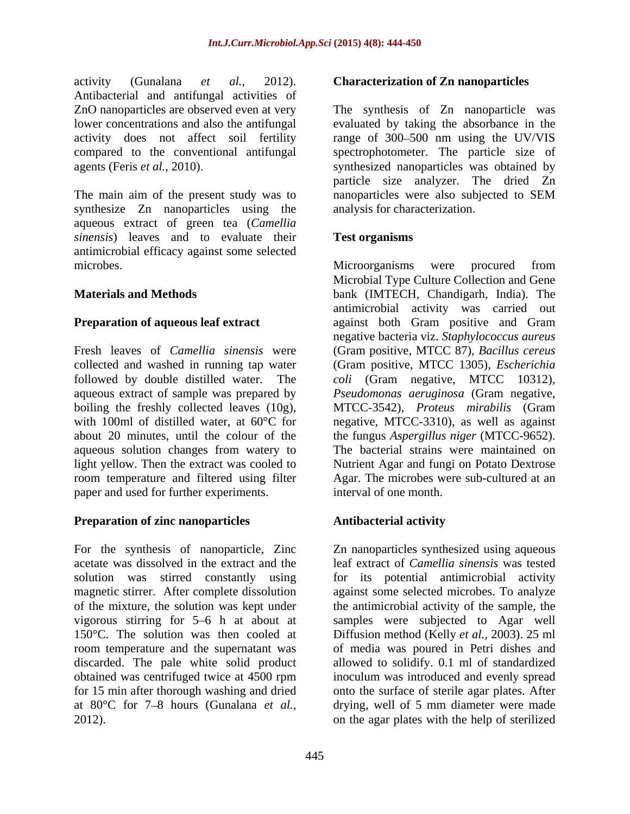activity (Gunalana *et al.,* 2012). **Characterization of Zn nanoparticles** Antibacterial and antifungal activities of

The main aim of the present study was to nanoparticles were also subjected to SEM synthesize Zn nanoparticles using the aqueous extract of green tea (*Camellia sinensis*) leaves and to evaluate their **Test organisms** antimicrobial efficacy against some selected microbes. Microorganisms were procured from

followed by double distilled water. The coli (Gram negative, MTCC 10312), aqueous extract of sample was prepared by Pseudomonas aeruginosa (Gram negative, aqueous solution changes from watery to paper and used for further experiments.

## **Preparation of zinc nanoparticles Antibacterial activity**

For the synthesis of nanoparticle, Zinc Zn nanoparticles synthesized using aqueous acetate was dissolved in the extract and the leaf extract of *Camellia sinensis* was tested solution was stirred constantly using for its potential antimicrobial activity magnetic stirrer. After complete dissolution against some selected microbes. To analyze of the mixture, the solution was kept under the antimicrobial activity of the sample, the vigorous stirring for 5 6 h at about at samples were subjected to Agar well 150°C. The solution was then cooled at Diffusion method (Kelly *et al.,* 2003). 25 ml room temperature and the supernatant was of media was poured in Petri dishes and discarded. The pale white solid product allowed to solidify. 0.1 ml of standardized obtained was centrifuged twice at 4500 rpm inoculum was introduced and evenly spread for 15 min after thorough washing and dried onto the surface of sterile agar plates. After at 80°C for 7–8 hours (Gunalana *et al.*, drying, well of 5 mm diameter were made 2012). on the agar plates with the help of sterilized

ZnO nanoparticles are observed even at very The synthesis of Zn nanoparticle was lower concentrations and also the antifungal evaluated by taking the absorbance in the activity does not affect soil fertility range of 300 500 nm using the UV/VIS compared to the conventional antifungal spectrophotometer. The particle size of agents (Feris *et al.,* 2010). synthesized nanoparticles was obtained by particle size analyzer. The dried Zn nanoparticles were also subjected to SEM analysis for characterization.

## **Test organisms**

**Materials and Methods** bank (IMTECH, Chandigarh, India). The **Preparation of aqueous leaf extract** against both Gram positive and Gram Fresh leaves of *Camellia sinensis* were (Gram positive, MTCC 87)*, Bacillus cereus* collected and washed in running tap water (Gram positive, MTCC 1305), *Escherichia*  boiling the freshly collected leaves (10g), MTCC-3542), Proteus mirabilis (Gram with 100ml of distilled water, at 60°C for a negative, MTCC-3310), as well as against about 20 minutes, until the colour of the the fungus *Aspergillus niger* (MTCC-9652). light yellow. Then the extract was cooled to Nutrient Agar and fungi on Potato Dextrose room temperature and filtered using filter Agar. The microbes were sub-cultured at an Microorganisms were procured from Microbial Type Culture Collection and Gene antimicrobial activity was carried out negative bacteria viz. *Staphylococcus aureus coli* (Gram negative, MTCC 10312)*, Pseudomonas aeruginosa* (Gram negative, The bacterial strains were maintained on interval of one month.

## **Antibacterial activity**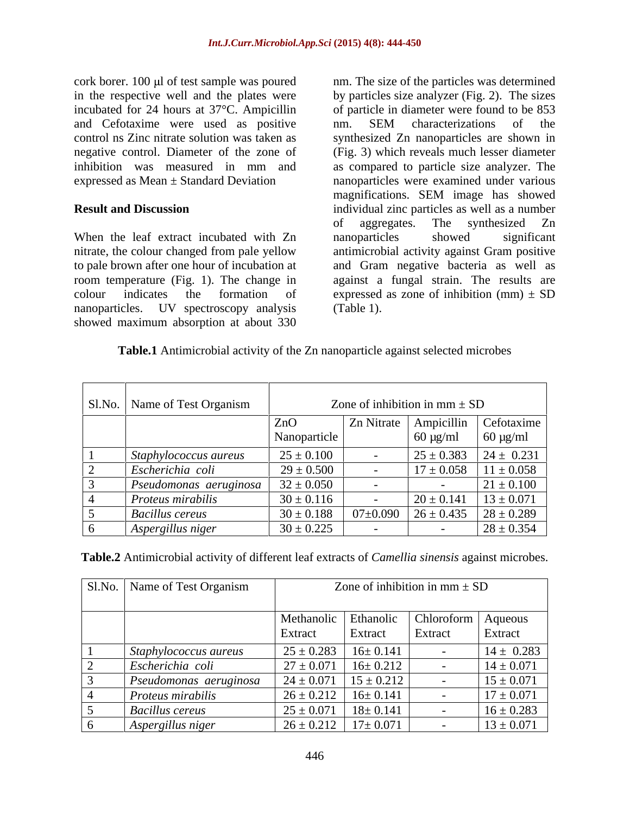cork borer. 100 µl of test sample was poured nm. The size of the particles was determined and Cefotaxime were used as positive nm. SEM characterizations of the

When the leaf extract incubated with Zn anoparticles showed significant to pale brown after one hour of incubation at showed maximum absorption at about 330

in the respective well and the plates were by particles size analyzer (Fig. 2). The sizes incubated for 24 hours at 37°C. Ampicillin of particle in diameter were found to be 853 control ns Zinc nitrate solution was taken as synthesized Zn nanoparticles are shown in negative control. Diameter of the zone of (Fig. 3) which reveals much lesser diameter inhibition was measured in mm and as compared to particle size analyzer. The expressed as Mean ± Standard Deviation nanoparticles were examined under various **Result and Discussion individual zinc particles as well as a number** nitrate, the colour changed from pale yellow antimicrobial activity against Gram positive room temperature (Fig. 1). The change in against a fungal strain. The results are colour indicates the formation of expressed as zone of inhibition  $(mm) \pm SD$ nanoparticles. UV spectroscopy analysis (Table 1). nm. SEM characterizations of the magnifications. SEM image has showed of aggregates. The synthesized Zn nanoparticles showed significant and Gram negative bacteria as well as (Table 1).

**Table.1** Antimicrobial activity of the Zn nanoparticle against selected microbes

| Sl.No. Name of Test Organism           |                                        | Zone of inhibition in mm $\pm$ SD |                                      |
|----------------------------------------|----------------------------------------|-----------------------------------|--------------------------------------|
|                                        | ZnO                                    |                                   | Zn Nitrate   Ampicillin   Cefotaxime |
|                                        | Nanoparticle                           | $60 \mu g/ml$                     | $60 \mu g/ml$                        |
| $\int$ Staphylococcus aureus           | $25 \pm 0.100$                         | $25 \pm 0.383$                    | $24 \pm 0.231$                       |
| Escherichia coli                       | $29 \pm 0.500$                         | $17 \pm 0.058$                    | $11 \pm 0.058$                       |
| $\vert$ Pseudomonas aeruginosa $\vert$ | $32 \pm 0.050$                         |                                   | $21 \pm 0.100$                       |
| Proteus mirabilis                      | $30 \pm 0.116$                         | $20 \pm 0.141$                    | $13 \pm 0.071$                       |
| <b>Bacillus cereus</b>                 | $30 \pm 0.188$   07±0.090   26 ± 0.435 |                                   | $28 \pm 0.289$                       |
| Aspergillus niger                      | $30 \pm 0.225$                         |                                   | $28 \pm 0.354$                       |

| Table.2<br>.√ of differer*<br>activity<br>$\ldots$ interopeants of $\ddotsc$<br>$\ldots$ reaf extraction<br>$$ measure | <sup>1</sup> microbes.<br>against<br>Amellia<br>8 <i>11101</i> 1819<br>$^{\circ}$ or $\cdot$ .<br>しししし |  |  |
|------------------------------------------------------------------------------------------------------------------------|--------------------------------------------------------------------------------------------------------|--|--|
|                                                                                                                        |                                                                                                        |  |  |

|  | Sl.No.   Name of Test Organism |                | Zone of inhibition in mm $\pm$ SD             |         |                |
|--|--------------------------------|----------------|-----------------------------------------------|---------|----------------|
|  |                                |                | Methanolic   Ethanolic   Chloroform   Aqueous |         |                |
|  |                                | Extract        | Extract                                       | Extract | Extract        |
|  | Staphylococcus aureus          |                | $25 \pm 0.283$   16 $\pm$ 0.141               |         | $14 \pm 0.283$ |
|  | Escherichia coli               |                | $27 \pm 0.071$   16 $\pm$ 0.212               |         | $14 \pm 0.071$ |
|  | Pseudomonas aeruginosa         | $24 \pm 0.071$ | $15 \pm 0.212$                                |         | $15 \pm 0.071$ |
|  | Proteus mirabilis              |                | $26 \pm 0.212$   16 $\pm$ 0.141               |         | $17 \pm 0.071$ |
|  | <b>Bacillus cereus</b>         | $25 \pm 0.071$ | $18 \pm 0.141$                                |         | $16 \pm 0.283$ |
|  | Aspergillus niger              |                | $26 \pm 0.212$   $17 \pm 0.071$               |         | $13 \pm 0.071$ |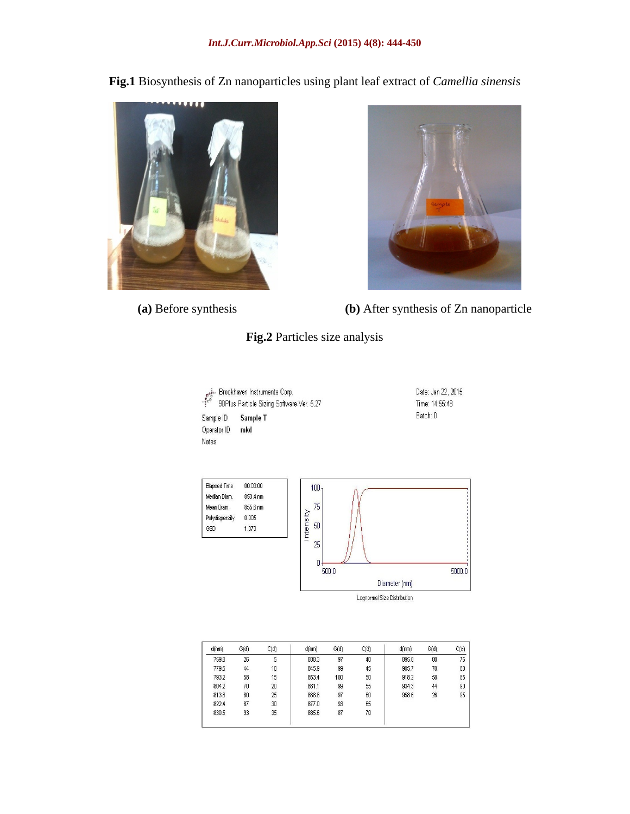**Fig.1** Biosynthesis of Zn nanoparticles using plant leaf extract of *Camellia sinensis*





 **(a)** Before synthesis **(b)** After synthesis of Zn nanoparticle

# **Fig.2** Particles size analysis

| $e^{\sigma^{\rm inc}_{\rm c}}$    | Brookhaven Instruments Corp.<br>90Plus Particle Sizing Software Ver. 5.27 | Date: Jan 22, 2015<br>Time: 14:55:48 |  |  |
|-----------------------------------|---------------------------------------------------------------------------|--------------------------------------|--|--|
| Sample ID<br>Operator ID<br>Notes | Sample T<br>mko                                                           | Batch: 0                             |  |  |
|                                   |                                                                           |                                      |  |  |



Lognormal Size Distribution

| C(d) | G(d) | d(nm) | C(d) | G(d) | d(nm) | C(d) | G(d) | d(nm) |
|------|------|-------|------|------|-------|------|------|-------|
| 75   | 80   | 895.0 | 40   | 97   | 838.3 | 5    | 26   | 759.8 |
| 80   | 70   | 905.7 | 45   | 99   | 845.9 | 10   | 44   | 779.6 |
| 85   | 58   | 918.2 | 50   | 100  | 353.4 | 15   | 58   | 793.2 |
| 90   | 44   | 934.3 | 55   | 99   | 861.1 | 20   | 70   | 804.2 |
| 95   | 26   | 958.6 | 60   | 97   | 868.8 | 25   | 80   | 813.8 |
|      |      |       | 65   | 93   | 877.0 | 30   | 87   | 822.4 |
|      |      |       | 70   | 87   | 885.6 | 35   | 93   | 830.5 |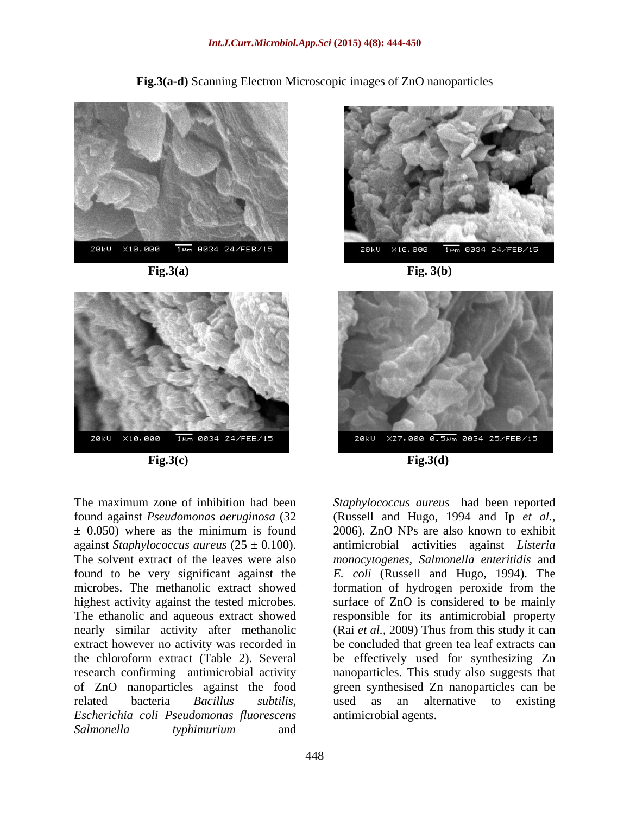**Fig.3(a-d)** Scanning Electron Microscopic images of ZnO nanoparticles





 **Fig.3(c) Fig.3(d)**

related bacteria *Bacillus subtilis, Escherichia coli Pseudomonas fluorescens Salmonella typhimurium* and



**Fig.3(a) Fig. 3(b)**



The maximum zone of inhibition had been *Staphylococcus aureus* had been reported found against *Pseudomonas aeruginosa* (32 (Russell and Hugo, 1994 and Ip *et al.,* ± 0.050) where as the minimum is found 2006). ZnO NPs are also known to exhibit against *Staphylococcus aureus* (25 ± 0.100). antimicrobial activities against *Listeria*  The solvent extract of the leaves were also *monocytogenes, Salmonella enteritidis* and found to be very significant against the *E. coli* (Russell and Hugo, 1994). The microbes. The methanolic extract showed formation of hydrogen peroxide from the highest activity against the tested microbes. Surface of ZnO is considered to be mainly The ethanolic and aqueous extract showed responsible for its antimicrobial property nearly similar activity after methanolic (Rai *et al.,* 2009) Thus from this study it can extract however no activity was recorded in be concluded that green tea leaf extracts can the chloroform extract (Table 2). Several be effectively used for synthesizing Zn research confirming antimicrobial activity nanoparticles. This study also suggests that of ZnO nanoparticles against the food green synthesised Zn nanoparticles can be used as an alternative to existing antimicrobial agents.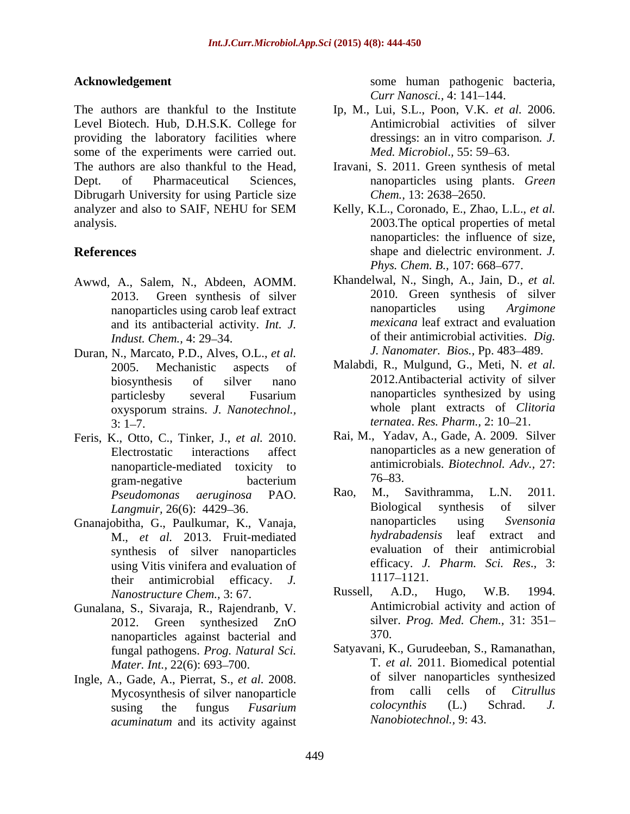The authors are thankful to the Institute Ip, M., Lui, S.L., Poon, V.K. *et al.* 2006. Level Biotech. Hub, D.H.S.K. College for providing the laboratory facilities where some of the experiments were carried out. The authors are also thankful to the Head, Iravani, S. 2011. Green synthesis of metal Dept. of Pharmaceutical Sciences, nanoparticles using plants. *Green*  Dibrugarh University for using Particle size Chem., 13: 2638–2650.

- Awwd, A., Salem, N., Abdeen, AOMM. and its antibacterial activity. *Int. J.*
- Duran, N., Marcato, P.D., Alves, O.L., *et al.* oxysporum strains. *J. Nanotechnol.,*  $3: 1-7.$  *ternatea. Res. Pharm.*,  $2: 10-21.$
- Feris, K., Otto, C., Tinker, J., *et al.* 2010. nanoparticle-mediated toxicity to antimic<br>gram-negative becterium 76–83. gram-negative bacterium 76–83.
- Gnanajobitha, G., Paulkumar, K., Vanaja, ananoparticles using Svensonia<br>M et al. 2013 Fruit-mediated hydrabadensis leaf extract and M., *et al.* 2013. Fruit-mediated synthesis of silver nanoparticles using Vitis vinifera and evaluation of  $\qquad \qquad$  efficacy. J.<br>their antimicrobial efficacy  $I$   $1117-1121$ . their antimicrobial efficacy. *J.* 1117–1121.<br>*Nanostructure Chem* 3:67 Russell, A.D., Hugo, W.B. 1994. *Nanostructure Chem.,* 3: 67.
- Gunalana, S., Sivaraja, R., Rajendranb, V. nanoparticles against bacterial and 370. fungal pathogens. *Prog. Natural Sci.*
- Ingle, A., Gade, A., Pierrat, S., *et al.* 2008. of silver nanoparticles synthesized<br>Mycosynthesis of silver nanoparticle from calli cells of *Citrullus acuminatum* and its activity against

**Acknowledgement** some human pathogenic bacteria, *Curr Nanosci., 4:* 141-144.

- Antimicrobial activities of silver dressings: an in vitro comparison*. J. Med. Microbiol., 55: 59-63.*
- *Chem.,* 13: 2638–2650.
- analyzer and also to SAIF, NEHU for SEM Kelly, K.L., Coronado, E., Zhao, L.L., et al. analysis. 2003.The optical properties of metal **References** shape and dielectric environment. *J.*  Kelly, K.L., Coronado, E., Zhao, L.L., *et al.* nanoparticles: the influence of size, *Phys. Chem. B., 107: 668-677.* 
	- 2013. Green synthesis of silver 2010. Green synthesis of silver nanoparticles using carob leaf extract nanoparticles using Argimone *Indust. Chem.*, 4: 29–34. *Indust. Chem.*, 4: 29–34. Khandelwal, N., Singh, A., Jain, D., *et al.* nanoparticles using *Argimone mexicana* leaf extract and evaluation of their antimicrobial activities. *Dig. J. Nanomater. Bios., Pp. 483-489.*
	- 2005. Mechanistic aspects of Malabdi, R., Mulgund, G., Meti, N. *et al.* biosynthesis of silver nano 2012.Antibacterial activity of silver particlesby several Fusarium nanoparticles synthesized by using 2012.Antibacterial activity of silver nanoparticles synthesized by using whole plant extracts of *Clitoria ternatea. Res. Pharm., 2:* 10–21.
	- Electrostatic interactions affect nanoparticles as a new generation of Rai, M., Yadav, A., Gade, A. 2009. Silver nanoparticles as a new generation of antimicrobials. *Biotechnol. Adv.,* 27:  $76 - 83.$
	- *Pseudomonas aeruginosa* PAO. *Langmuir,* 26(6): 4429–36.<br> **Example 18 Solution** Subsetstands Constanting Contractors Constanting Constanting Constanting Constanting Constanting Constanting Constanting Constanting Constanting Constanting Constanting Co Rao, M., Savithramma, L.N. 2011. Biological synthesis of silver nanoparticles using *Svensonia hydrabadensis* leaf extract and evaluation of their antimicrobial efficacy. *J. Pharm. Sci. Res*.*,* 3: 1117 1121.
	- 2012. Green synthesized ZnO silver. Prog. Med. Chem., 31: 351– Russell, A.D., Hugo, W.B. 1994. Antimicrobial activity and action of silver. *Prog. Med. Chem.,* 31: 351 370.
	- *Mater. Int.,* 22(6): 693 700. T. *et al.* 2011. Biomedical potential Mycosynthesis of silver nanoparticle from calli cells of *Citrullus*<br>susing the fungus *Eusarium* colocynthis (L.) Schrad. J. susing the fungus *Fusarium*  Satyavani, K., Gurudeeban, S., Ramanathan, of silver nanoparticles synthesized from calli cells of *Citrullus colocynthis* (L.) Schrad. *J. Nanobiotechnol.,* 9: 43.